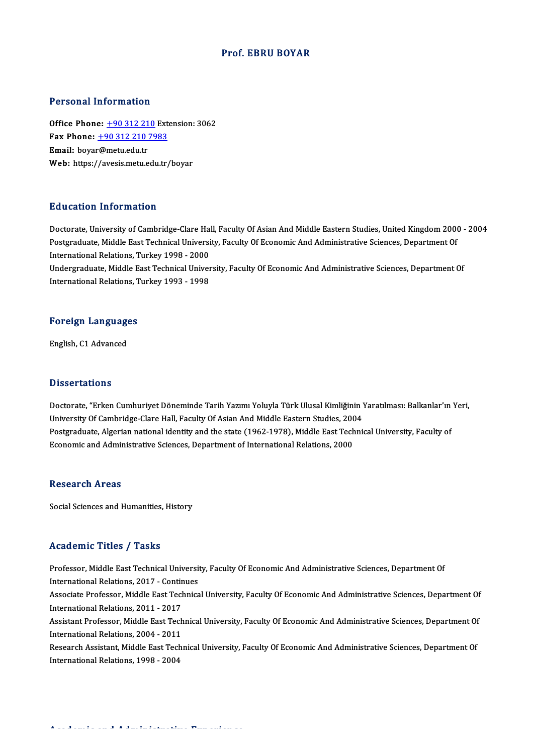## Prof. EBRU BOYAR

## Personal Information

Personal Information<br>Office Phone: <u>+90 312 210</u> Extension: 3062<br>Eav Phone: 190 312 210 7992 Fax Phone: <u>+90 312 210</u> External<br>Fax Phone: <u>+90 312 210 7983</u><br>Fmail: hover@mety.edu.tr Office Phone: <u>+90 312 21</u><br>Fax Phone: <u>+90 312 210</u><br>Email: boya[r@metu.edu.tr](tel:+90 312 210 7983) Fax Phone: <u>+90 312 210 7983</u><br>Email: boyar@metu.edu.tr<br>Web: https://avesis.metu.edu.tr/boyar

## Education Information

Education Information<br>Doctorate, University of Cambridge-Clare Hall, Faculty Of Asian And Middle Eastern Studies, United Kingdom 2000 - 2004<br>Postanaduate Middle Fast Technical University, Faculty Of Esenemis And Administra Pu d'outron Timor inderon<br>Doctorate, University of Cambridge-Clare Hall, Faculty Of Asian And Middle Eastern Studies, United Kingdom 200<br>Postgraduate, Middle East Technical University, Faculty Of Economic And Administrativ Doctorate, University of Cambridge-Clare Ha<br>Postgraduate, Middle East Technical Universi<br>International Relations, Turkey 1998 - 2000<br>Undergraduate Middle East Technical Univer Postgraduate, Middle East Technical University, Faculty Of Economic And Administrative Sciences, Department Of<br>International Relations, Turkey 1998 - 2000<br>Undergraduate, Middle East Technical University, Faculty Of Economi

International Relations, Turkey 1998 - 2000<br>Undergraduate, Middle East Technical Univer<br>International Relations, Turkey 1993 - 1998

## international Relations, I<br>Foreign Languages <mark>Foreign Languag</mark><br>English, C1 Advanced

English, C1 Advanced<br>Dissertations

Dissertations<br>Doctorate, "Erken Cumhuriyet Döneminde Tarih Yazımı Yoluyla Türk Ulusal Kimliğinin Yaratılması: Balkanlar'ın Yeri,<br>University Of Cambridge Clare Hall, Faculty Of Asian And Middle Fastern Studies, 2004 D'isseer carre ne<br>Doctorate, "Erken Cumhuriyet Döneminde Tarih Yazımı Yoluyla Türk Ulusal Kimliğinin !<br>University Of Cambridge-Clare Hall, Faculty Of Asian And Middle Eastern Studies, 2004<br>Postsraduate, Alsorian national i Doctorate, "Erken Cumhuriyet Döneminde Tarih Yazımı Yoluyla Türk Ulusal Kimliğinin Yaratılması: Balkanlar'ın<br>University Of Cambridge-Clare Hall, Faculty Of Asian And Middle Eastern Studies, 2004<br>Postgraduate, Algerian nati University Of Cambridge-Clare Hall, Faculty Of Asian And Middle Eastern Studies, 2004<br>Postgraduate, Algerian national identity and the state (1962-1978), Middle East Technical University, Faculty of<br>Economic and Administra

### **Research Areas**

Social Sciences and Humanities, History

## Academic Titles / Tasks

Academic Titles / Tasks<br>Professor, Middle East Technical University, Faculty Of Economic And Administrative Sciences, Department Of<br>International Pelations, 2017, Continues International Relations, 2017<br>International Relations, 2017 - Continues<br>Associate Professor, Middle Fost Technics Associate Professor, Middle East Technical University, Faculty Of Economic And Administrative Sciences, Department Of International Relations, 2011 - 2017 International Relations, 2017 - Continues Associate Professor, Middle East Technical University, Faculty Of Economic And Administrative Sciences, Department Of<br>International Relations, 2011 - 2017<br>Assistant Professor, Middle East Technical University, Faculty Of E International Relations, 2011 - 2017<br>Assistant Professor, Middle East Tech<br>International Relations, 2004 - 2011<br>Besearsh Assistant, Middle East Tesh Assistant Professor, Middle East Technical University, Faculty Of Economic And Administrative Sciences, Department Of<br>International Relations, 2004 - 2011<br>Research Assistant, Middle East Technical University, Faculty Of Ec International Relations, 2004 - 2011<br>Research Assistant, Middle East Technical University, Faculty Of Economic And Administrative Sciences, Department Of<br>International Relations, 1998 - 2004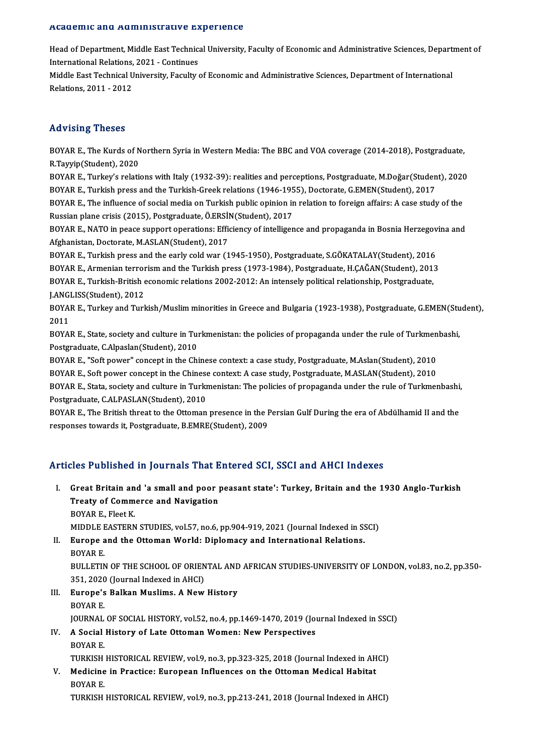### Academic and Administrative Experience

A**cademic and Administrative Experience**<br>Head of Department, Middle East Technical University, Faculty of Economic and Administrative Sciences, Department of<br>International Pelations, 2021 , Continues International Relations, 2021<br>International Relations, 2021 - Continues<br>Middle Fest Technical University, Feculty Head of Department, Middle East Technical University, Faculty of Economic and Administrative Sciences, Depart<br>International Relations, 2021 - Continues<br>Middle East Technical University, Faculty of Economic and Administrati

International Relations, 2021 - Continues<br>Middle East Technical University, Faculty of Economic and Administrative Sciences, Department of International<br>Relations, 2011 - 2012

## Advising Theses

Advising Theses<br>BOYAR E., The Kurds of Northern Syria in Western Media: The BBC and VOA coverage (2014-2018), Postgraduate,<br>B.Teyrin(Student), 2020 R.G. VISING THESES<br>R.Tayyip(Student), 2020<br>R.Tayyip(Student), 2020 BOYAR E., The Kurds of Northern Syria in Western Media: The BBC and VOA coverage (2014-2018), Postgraduate,<br>R.Tayyip(Student), 2020<br>BOYAR E., Turkey's relations with Italy (1932-39): realities and perceptions, Postgraduate

R.Tayyip(Student), 2020<br>BOYAR E., Turkey's relations with Italy (1932-39): realities and perceptions, Postgraduate, M.Doğar(Student),<br>BOYAR E., Turkish press and the Turkish-Greek relations (1946-1955), Doctorate, G.EMEN(S BOYAR E., Turkey's relations with Italy (1932-39): realities and perceptions, Postgraduate, M.Doğar(Student), 2020<br>BOYAR E., Turkish press and the Turkish-Greek relations (1946-1955), Doctorate, G.EMEN(Student), 2017<br>BOYAR

BOYAR E., Turkish press and the Turkish-Greek relations (1946-1955), Doctorate, G.EMEN(Student), 2017<br>BOYAR E., The influence of social media on Turkish public opinion in relation to foreign affairs: A case study of the<br>Ru BOYAR E., The influence of social media on Turkish public opinion in relation to foreign affairs: A case study of the<br>Russian plane crisis (2015), Postgraduate, Ö.ERSİN(Student), 2017<br>BOYAR E., NATO in peace support operat

Russian plane crisis (2015), Postgraduate, Ö.ERSİ!<br>BOYAR E., NATO in peace support operations: Effic<br>Afghanistan, Doctorate, M.ASLAN(Student), 2017<br>POVAR E. Turkish press and the early sold war (1 BOYAR E., NATO in peace support operations: Efficiency of intelligence and propaganda in Bosnia Herzegov<br>Afghanistan, Doctorate, M.ASLAN(Student), 2017<br>BOYAR E., Turkish press and the early cold war (1945-1950), Postgradua

Afghanistan, Doctorate, M.ASLAN(Student), 2017<br>BOYAR E., Turkish press and the early cold war (1945-1950), Postgraduate, S.GÖKATALAY(Student), 2016<br>BOYAR E., Armenian terrorism and the Turkish press (1973-1984), Postgradua BOYAR E., Turkish press and the early cold war (1945-1950), Postgraduate, S.GÖKATALAY(Student), 2016<br>BOYAR E., Armenian terrorism and the Turkish press (1973-1984), Postgraduate, H.ÇAĞAN(Student), 2013<br>BOYAR E., Turkish-Br BOYAR E., Armenian terror<br>BOYAR E., Turkish-British e<br>J.ANGLISS(Student), 2012<br>BOYAR E. Turkov and Turk BOYAR E., Turkish-British economic relations 2002-2012: An intensely political relationship, Postgraduate,<br>J.ANGLISS(Student), 2012<br>BOYAR E., Turkey and Turkish/Muslim minorities in Greece and Bulgaria (1923-1938), Postgra

**JANG**<br>BOYA<br>2011<br>POYA BOYAR E., Turkey and Turkish/Muslim minorities in Greece and Bulgaria (1923-1938), Postgraduate, G.EMEN(Stu<br>2011<br>BOYAR E., State, society and culture in Turkmenistan: the policies of propaganda under the rule of Turkmenbas

2011<br>BOYAR E., State, society and culture in Tu<br>Postgraduate, C.Alpaslan(Student), 2010 BOYAR E., State, society and culture in Turkmenistan: the policies of propaganda under the rule of Turkmenbashi,

BOYAR E., "Soft power" concept in the Chinese context: a case study, Postgraduate, M.Aslan(Student), 2010 BOYAR E., "Soft power" concept in the Chinese context: a case study, Postgraduate, M.Aslan(Student), 2010<br>BOYAR E., Soft power concept in the Chinese context: A case study, Postgraduate, M.ASLAN(Student), 2010<br>BOYAR E., St BOYAR E., Soft power concept in the Chinese context: A case study, Postgraduate, M.ASLAN(Student), 2010<br>BOYAR E., Stata, society and culture in Turkmenistan: The policies of propaganda under the rule of Turkmenbashi<br>Postgr BOYAR E., Stata, society and culture in Turkmenistan: The policies of propaganda under the rule of Turkmenbashi,<br>Postgraduate, C.ALPASLAN(Student), 2010<br>BOYAR E., The British threat to the Ottoman presence in the Persian G

responses towards it, Postgraduate, B.EMRE(Student), 2009

## Articles Published in Journals That Entered SCI, SSCI and AHCI Indexes

rticles Published in Journals That Entered SCI, SSCI and AHCI Indexes<br>I. Great Britain and 'a small and poor peasant state': Turkey, Britain and the 1930 Anglo-Turkish<br>Treaty of Commones and Nevigation STED T WOMONEU III JOUTHUM THUCH<br>Great Britain and 'a small and poor J<br>Treaty of Commerce and Navigation<br>POVAR E. Fleet K **Great Britain an<br>Treaty of Comm<br>BOYAR E., Fleet K.<br>MIDDI E FASTEDN** Treaty of Commerce and Navigation<br>BOYAR E., Fleet K.<br>MIDDLE EASTERN STUDIES, vol.57, no.6, pp.904-919, 2021 (Journal Indexed in SSCI)<br>Europe and the Ottoman World: Diplomasy and International Pektions

BOYAR E., Fleet K.<br>MIDDLE EASTERN STUDIES, vol.57, no.6, pp.904-919, 2021 (Journal Indexed in S.<br>II. Europe and the Ottoman World: Diplomacy and International Relations.<br>BOYAR E. MIDDLE E<br>Europe a<br>BOYAR E.<br>PULLETIA Europe and the Ottoman World: Diplomacy and International Relations.<br>BOYAR E.<br>BULLETIN OF THE SCHOOL OF ORIENTAL AND AFRICAN STUDIES-UNIVERSITY OF LONDON, vol.83, no.2, pp.350-<br>251, 2020 (Journal Indoved in AUC).

BOYAR E.<br>BULLETIN OF THE SCHOOL OF ORIEN<br>351, 2020 (Journal Indexed in AHCI)<br>Europe's Balkan Muslims, A Now BULLETIN OF THE SCHOOL OF ORIENTAL AND<br>351, 2020 (Journal Indexed in AHCI)<br>III. Europe's Balkan Muslims. A New History<br>POVAP F

- 351, 2020<br><mark>Europe's</mark><br>BOYAR E.<br>JOUPNAL Europe's Balkan Muslims. A New History<br>BOYAR E.<br>JOURNAL OF SOCIAL HISTORY, vol.52, no.4, pp.1469-1470, 2019 (Journal Indexed in SSCI)<br>A Social History of Late Ottoman Women: Naw Berspectives BOYAR E.<br>JOURNAL OF SOCIAL HISTORY, vol.52, no.4, pp.1469-1470, 2019 (Journal IV.<br>IV. A Social History of Late Ottoman Women: New Perspectives
- **JOURNAL<br>A Social<br>BOYAR E.<br>TUPKISH** IV. A Social History of Late Ottoman Women: New Perspectives<br>BOYAR E.<br>TURKISH HISTORICAL REVIEW, vol.9, no.3, pp.323-325, 2018 (Journal Indexed in AHCI)
- BOYAR E.<br>TURKISH HISTORICAL REVIEW, vol.9, no.3, pp.323-325, 2018 (Journal Indexed in AH<br>V. Medicine in Practice: European Influences on the Ottoman Medical Habitat<br>POYAR F TURKISH<br>Medicine<br>BOYAR E.<br>TUPKISH BOYAR E.<br>TURKISH HISTORICAL REVIEW, vol.9, no.3, pp.213-241, 2018 (Journal Indexed in AHCI)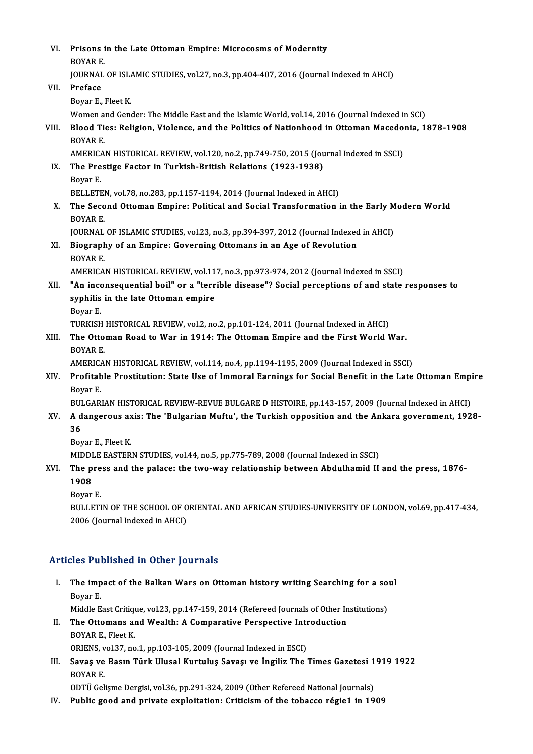| VI.   | Prisons in the Late Ottoman Empire: Microcosms of Modernity                                                       |
|-------|-------------------------------------------------------------------------------------------------------------------|
|       | <b>BOYAR E.</b>                                                                                                   |
|       | JOURNAL OF ISLAMIC STUDIES, vol.27, no.3, pp.404-407, 2016 (Journal Indexed in AHCI)                              |
| VII.  | Preface                                                                                                           |
|       | Boyar E, Fleet K                                                                                                  |
|       | Women and Gender: The Middle East and the Islamic World, vol.14, 2016 (Journal Indexed in SCI)                    |
| VIII. | Blood Ties: Religion, Violence, and the Politics of Nationhood in Ottoman Macedonia, 1878-1908<br><b>BOYAR E.</b> |
|       | AMERICAN HISTORICAL REVIEW, vol.120, no.2, pp.749-750, 2015 (Journal Indexed in SSCI)                             |
| IX.   | The Prestige Factor in Turkish-British Relations (1923-1938)                                                      |
|       | Boyar E.                                                                                                          |
|       | BELLETEN, vol 78, no 283, pp 1157-1194, 2014 (Journal Indexed in AHCI)                                            |
| Х.    | The Second Ottoman Empire: Political and Social Transformation in the Early Modern World                          |
|       | <b>BOYAR E</b>                                                                                                    |
|       | JOURNAL OF ISLAMIC STUDIES, vol.23, no.3, pp.394-397, 2012 (Journal Indexed in AHCI)                              |
| XI.   | Biography of an Empire: Governing Ottomans in an Age of Revolution<br><b>BOYARE</b>                               |
|       | AMERICAN HISTORICAL REVIEW, vol.117, no.3, pp.973-974, 2012 (Journal Indexed in SSCI)                             |
| XII.  | "An inconsequential boil" or a "terrible disease"? Social perceptions of and state responses to                   |
|       | syphilis in the late Ottoman empire                                                                               |
|       | Boyar E.                                                                                                          |
|       | TURKISH HISTORICAL REVIEW, vol.2, no.2, pp.101-124, 2011 (Journal Indexed in AHCI)                                |
| XIII. | The Ottoman Road to War in 1914: The Ottoman Empire and the First World War.                                      |
|       | <b>BOYAR E.</b>                                                                                                   |
|       | AMERICAN HISTORICAL REVIEW, vol.114, no.4, pp.1194-1195, 2009 (Journal Indexed in SSCI)                           |
| XIV.  | Profitable Prostitution: State Use of Immoral Earnings for Social Benefit in the Late Ottoman Empire              |
|       | Boyar E                                                                                                           |
|       | BULGARIAN HISTORICAL REVIEW-REVUE BULGARE D HISTOIRE, pp.143-157, 2009 (Journal Indexed in AHCI)                  |
| XV.   | A dangerous axis: The 'Bulgarian Muftu', the Turkish opposition and the Ankara government, 1928-                  |
|       | 36                                                                                                                |
|       | Boyar E, Fleet K                                                                                                  |
|       | MIDDLE EASTERN STUDIES, vol.44, no.5, pp.775-789, 2008 (Journal Indexed in SSCI)                                  |
| XVI.  | The press and the palace: the two-way relationship between Abdulhamid II and the press, 1876-<br>1908             |
|       | Boyar E.                                                                                                          |
|       | BULLETIN OF THE SCHOOL OF ORIENTAL AND AFRICAN STUDIES-UNIVERSITY OF LONDON, vol.69, pp.417-434,                  |
|       | 2006 (Journal Indexed in AHCI)                                                                                    |

## Articles Published in Other Journals

rticles Published in Other Journals<br>I. The impact of the Balkan Wars on Ottoman history writing Searching for a soul<br>Royar E The imp<br>The imp<br>Boyar E.<br>Middle E. The impact of the Balkan Wars on Ottoman history writing Searching for a so<br>Boyar E.<br>Middle East Critique, vol.23, pp.147-159, 2014 (Refereed Journals of Other Institutions)<br>The Ottomans and Weelth: A Comparative Perspecti

- Boyar E.<br>Middle East Critique, vol.23, pp.147-159, 2014 (Refereed Journals of Other In<br>II. The Ottomans and Wealth: A Comparative Perspective Introduction<br>POVAR E. Fleet V. Middle East Critique, vol.23, pp.147-159, 2014 (Refereed Journals of Other Institutions)<br>The Ottomans and Wealth: A Comparative Perspective Introduction<br>BOYAR E., Fleet K. The Ottomans and Wealth: A Comparative Perspective Intr<br>BOYAR E., Fleet K.<br>ORIENS, vol.37, no.1, pp.103-105, 2009 (Journal Indexed in ESCI)<br>Saves ve Bosun Türk Ulusal Kuntulus Savesuse İngiliz The BOYAR E., Fleet K.<br>ORIENS, vol.37, no.1, pp.103-105, 2009 (Journal Indexed in ESCI)<br>III. Savaş ve Basın Türk Ulusal Kurtuluş Savaşı ve İngiliz The Times Gazetesi 1919 1922<br>POVAR E
- ORIENS, vol.37, no.1, pp.103-105, 2009 (Journal Indexed in ESCI)<br>Savaş ve Basın Türk Ulusal Kurtuluş Savaşı ve İngiliz The Times Gazetesi 1<br>BOYAR E.<br>ODTÜ Gelişme Dergisi, vol.36, pp.291-324, 2009 (Other Refereed National J Savaş ve Basın Türk Ulusal Kurtuluş Savaşı ve İngiliz The Times Gazetesi 1<br>BOYAR E.<br>ODTÜ Gelişme Dergisi, vol.36, pp.291-324, 2009 (Other Refereed National Journals)<br>Publis good and private evrleitation: Gritisiam of the t

IV. Public good and private exploitation: Criticismof the tobacco régie1 in 1909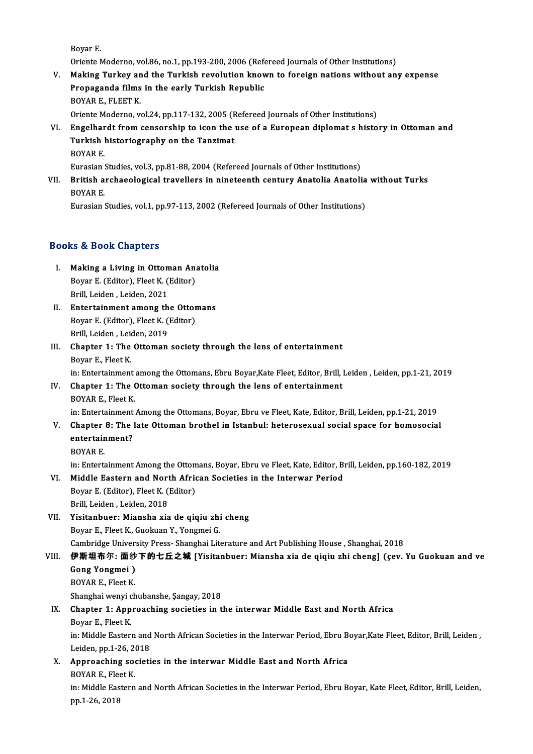Boyar E.

Oriente Moderno, vol.86, no.1, pp.193-200, 2006 (Refereed Journals of Other Institutions)

- V. Making Turkey and the Turkish revolution known to foreign nations without any expense Oriente Moderno, vol.86, no.1, pp.193-200, 2006 (Refe<br>Making Turkey and the Turkish revolution knov<br>Propaganda films in the early Turkish Republic<br>POVAR E. ELEET L Making Turkey an<br>Propaganda films<br>BOYAR E., FLEET K.<br>Orionte Moderno w BOYAR E., FLEET K.<br>Oriente Moderno, vol.24, pp.117-132, 2005 (Refereed Journals of Other Institutions) BOYAR E., FLEET K.<br>Oriente Moderno, vol.24, pp.117-132, 2005 (Refereed Journals of Other Institutions)<br>VI. Engelhardt from censorship to icon the use of a European diplomat s history in Ottoman and<br>Turkish historiasyonhy o
- Oriente Moderno, vol.24, pp.117-132, 2005 (F<br>Engelhardt from censorship to icon the<br>Turkish historiography on the Tanzimat<br>POVAP F Engelhar<br>Turkish<br>BOYAR E.<br>Eurosian Turkish historiography on the Tanzimat<br>BOYAR E.<br>Eurasian Studies, vol.3, pp.81-88, 2004 (Refereed Journals of Other Institutions)<br>Pritish archaeological travellers in nineteenth century Anatolia Anatoli

BOYAR E.<br>Eurasian Studies, vol.3, pp.81-88, 2004 (Refereed Journals of Other Institutions)<br>VII. British archaeological travellers in nineteenth century Anatolia Anatolia without Turks<br>POVAR E Eurasian :<br>**British a**<br>BOYAR E.<br>Eurosian : British archaeological travellers in nineteenth century Anatolia Anatolia<br>BOYAR E.<br>Eurasian Studies, vol.1, pp.97-113, 2002 (Refereed Journals of Other Institutions)

Eurasian Studies, vol.1, pp.97-113, 2002 (Refereed Journals of Other Institutions)<br>Books & Book Chapters

- ooks & Book Chapters<br>I. Making a Living in Ottoman Anatolia<br>Royan E (Editor), Elect K (Editor) Boyar E. (Editor),FleetK. (Editor) Making a Living in Ottom<br>Boyar E. (Editor), Fleet K. (<br>Brill, Leiden, Leiden, 2021<br>Entertainment among th Boyar E. (Editor), Fleet K. (Editor)<br>Brill, Leiden, Leiden, 2021<br>II. Entertainment among the Ottomans<br>Boyar E. (Editor), Elect K. (Editor)
- Brill, Leiden , Leiden, 2021<br>Entertainment among the Ottor<br>Boyar E. (Editor), Fleet K. (Editor)<br>Prill Leiden, Leiden, 2019 Entertainment among th<br>Boyar E. (Editor), Fleet K. (<br>Brill, Leiden, Leiden, 2019<br>Chanter 1: The Otteman
- Boyar E. (Editor), Fleet K. (Editor)<br>Brill, Leiden, Leiden, 2019<br>III. Chapter 1: The Ottoman society through the lens of entertainment<br>Boyar E. Fleet K. Brill, Leiden , Leid<br>Chapter 1: The<br>Boyar E., Fleet K.<br>in: Entertainment Boyar E., Fleet K.<br>in: Entertainment among the Ottomans, Ebru Boyar,Kate Fleet, Editor, Brill, Leiden , Leiden, pp.1-21, 2019

## Boyar E., Fleet K.<br>in: Entertainment among the Ottomans, Ebru Boyar,Kate Fleet, Editor, Brill, IV.<br>IV. Chapter 1: The Ottoman society through the lens of entertainment<br>POVAR E. Fleet K. in: Entertainment<br>Chapter 1: The (<br>BOYAR E., Fleet K.<br>in: Entertainment BOYAR E., Fleet K.<br>in: Entertainment Among the Ottomans, Boyar, Ebru ve Fleet, Kate, Editor, Brill, Leiden, pp.1-21, 2019

- BOYAR E., Fleet K.<br>in: Entertainment Among the Ottomans, Boyar, Ebru ve Fleet, Kate, Editor, Brill, Leiden, pp.1-21, 2019<br>V. Chapter 8: The late Ottoman brothel in Istanbul: heterosexual social space for homosocial<br>ontorta in: Entertainment<br>Chapter 8: The<br>entertainment?<br>POVAD F Chapter<br>entertair<br>BOYAR E.<br>in:Enterta entertainment?<br>BOYAR E.<br>in: Entertainment Among the Ottomans, Boyar, Ebru ve Fleet, Kate, Editor, Brill, Leiden, pp.160-182, 2019
	-

## BOYAR E.<br>in: Entertainment Among the Ottomans, Boyar, Ebru ve Fleet, Kate, Editor, B.<br>VI. Middle Eastern and North African Societies in the Interwar Period<br>Poven E. (Editor), Elect K. (Editor). in: Entertainment Among the Ottom<br>Middle Eastern and North Afric<br>Boyar E. (Editor), Fleet K. (Editor)<br>Prill Leiden, Leiden 2018 Boyar E. (Editor), Fleet K. (Editor)<br>Brill, Leiden, Leiden, 2018

VII. Yisitanbuer: Miansha xia de qiqiu zhi cheng Boyar E., Fleet K., Guokuan Y., Yongmei G. Cambridge University Press-Shanghai Literature and Art Publishing House, Shanghai, 2018 Boyar E., Fleet K., Guokuan Y., Yongmei G.<br>Cambridge University Press- Shanghai Literature and Art Publishing House , Shanghai, 2018<br>VIII. 伊斯坦布尔: 面纱下的七丘之城 [Yisitanbuer: Miansha xia de qiqiu zhi cheng] (çev. Yu Guokuan an

Cambridge Univers<br>伊斯坦布尔: 面纱<br>Gong Yongmei )<br>POVAP E-Fleet K 伊斯坦布尔: 面纱<br>Gong Yongmei )<br>BOYAR E., Fleet K.<br>Shanghai wanyi ch Gong Yongmei )<br>BOYAR E., Fleet K.<br>Shanghai wenyi chubanshe, Sangay, 2018

- BOYAR E., Fleet K.<br>Shanghai wenyi chubanshe, Şangay, 2018<br>IX. Chapter 1: Approaching societies in the interwar Middle East and North Africa<br>Pover F. Fleet K. Shanghai wenyi c<br>Chapter 1: App<br>Boyar E., Fleet K.<br>in: Middle Fester Chapter 1: Approaching societies in the interwar Middle East and North Africa<br>Boyar E., Fleet K.<br>in: Middle Eastern and North African Societies in the Interwar Period, Ebru Boyar,Kate Fleet, Editor, Brill, Leiden, Boyar E., Fleet K.<br>in: Middle Eastern and<br>Leiden, pp.1-26, 2018
- in: Middle Eastern and North African Societies in the Interwar Period, Ebru B<br>Leiden, pp.1-26, 2018<br>X. Approaching societies in the interwar Middle East and North Africa<br>POVAR E. Float V. Leiden, pp.1-26, 2<br><mark>Approaching so</mark><br>BOYAR E., Fleet K.<br>in: Middle Fectern

Approaching societies in the interwar Middle East and North Africa<br>BOYAR E., Fleet K.<br>in: Middle Eastern and North African Societies in the Interwar Period, Ebru Boyar, Kate Fleet, Editor, Brill, Leiden,<br>nn 1 26 2019 BOYAR E., Flee<br>in: Middle Eas<br>pp.1-26, 2018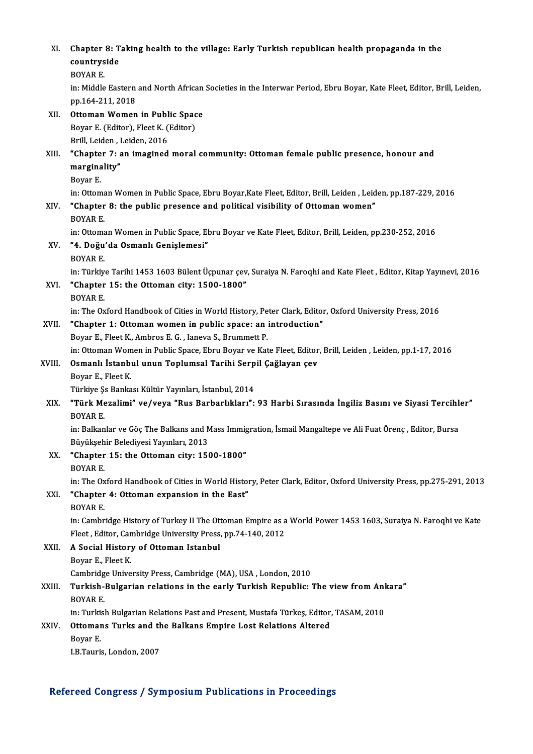| XI.    | Chapter 8: Taking health to the village: Early Turkish republican health propaganda in the<br>countryside                                             |
|--------|-------------------------------------------------------------------------------------------------------------------------------------------------------|
|        | <b>BOYAR E.</b>                                                                                                                                       |
|        | in: Middle Eastern and North African Societies in the Interwar Period, Ebru Boyar, Kate Fleet, Editor, Brill, Leiden,                                 |
|        | pp 164-211, 2018                                                                                                                                      |
| XII.   | Ottoman Women in Public Space                                                                                                                         |
|        | Boyar E (Editor), Fleet K (Editor)                                                                                                                    |
|        | Brill, Leiden, Leiden, 2016                                                                                                                           |
| XIII.  | "Chapter 7: an imagined moral community: Ottoman female public presence, honour and<br>marginality"                                                   |
|        | Boyar E                                                                                                                                               |
|        | in: Ottoman Women in Public Space, Ebru Boyar, Kate Fleet, Editor, Brill, Leiden, Leiden, pp.187-229, 2016                                            |
| XIV.   | "Chapter 8: the public presence and political visibility of Ottoman women"<br><b>BOYAR E</b>                                                          |
|        | in: Ottoman Women in Public Space, Ebru Boyar ve Kate Fleet, Editor, Brill, Leiden, pp.230-252, 2016                                                  |
| XV.    | "4. Doğu'da Osmanlı Genişlemesi"                                                                                                                      |
|        | <b>BOYAR E</b>                                                                                                                                        |
|        | in: Türkiye Tarihi 1453 1603 Bülent Üçpunar çev, Suraiya N. Faroqhi and Kate Fleet, Editor, Kitap Yayınevi, 2016                                      |
| XVI.   | "Chapter 15: the Ottoman city: 1500-1800"                                                                                                             |
|        | <b>BOYAR E.</b><br>in: The Oxford Handbook of Cities in World History, Peter Clark, Editor, Oxford University Press, 2016                             |
| XVII.  | "Chapter 1: Ottoman women in public space: an introduction"                                                                                           |
|        | Boyar E., Fleet K., Ambros E. G., Ianeva S., Brummett P.                                                                                              |
|        | in: Ottoman Women in Public Space, Ebru Boyar ve Kate Fleet, Editor, Brill, Leiden, Leiden, pp.1-17, 2016                                             |
| XVIII. | Osmanlı İstanbul unun Toplumsal Tarihi Serpil Çağlayan çev                                                                                            |
|        | Boyar E., Fleet K.                                                                                                                                    |
|        | Türkiye Şs Bankası Kültür Yayınları, İstanbul, 2014                                                                                                   |
| XIX.   | "Türk Mezalimi" ve/veya "Rus Barbarlıkları": 93 Harbi Sırasında İngiliz Basını ve Siyasi Tercihler"<br><b>BOYAR E</b>                                 |
|        | in: Balkanlar ve Göç The Balkans and Mass Immigration, İsmail Mangaltepe ve Ali Fuat Örenç, Editor, Bursa                                             |
|        | Büyükşehir Belediyesi Yayınları, 2013                                                                                                                 |
| XX.    | "Chapter 15: the Ottoman city: 1500-1800"                                                                                                             |
|        | <b>BOYAR E.</b>                                                                                                                                       |
|        | in: The Oxford Handbook of Cities in World History, Peter Clark, Editor, Oxford University Press, pp.275-291, 2013                                    |
| XXI.   | "Chapter 4: Ottoman expansion in the East"                                                                                                            |
|        | <b>BOYAR E.</b>                                                                                                                                       |
|        | in: Cambridge History of Turkey II The Ottoman Empire as a World Power 1453 1603, Suraiya N. Faroqhi ve Kate                                          |
|        | Fleet, Editor, Cambridge University Press, pp.74-140, 2012                                                                                            |
| XXII.  | A Social History of Ottoman Istanbul                                                                                                                  |
|        | Boyar E, Fleet K                                                                                                                                      |
|        | Cambridge University Press, Cambridge (MA), USA, London, 2010                                                                                         |
| XXIII. | Turkish-Bulgarian relations in the early Turkish Republic: The view from Ankara"                                                                      |
|        | BOYAR E.                                                                                                                                              |
| XXIV.  | in: Turkish Bulgarian Relations Past and Present, Mustafa Türkeş, Editor, TASAM, 2010<br>Ottomans Turks and the Balkans Empire Lost Relations Altered |
|        | Boyar E                                                                                                                                               |
|        | I.B. Tauris, London, 2007                                                                                                                             |
|        |                                                                                                                                                       |

## Refereed Congress / Symposium Publications in Proceedings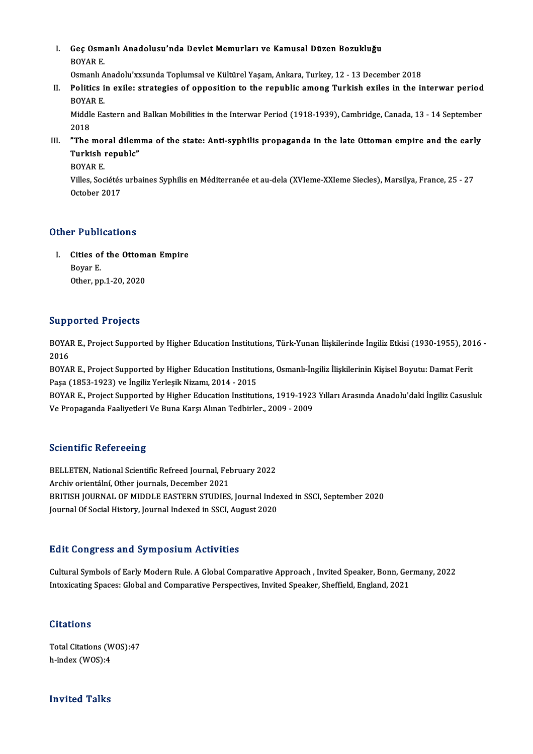I. Geç Osmanlı Anadolusu'nda Devlet Memurları ve Kamusal Düzen Bozukluğu<br>ROVAR F Geç Osma<br>BOYAR E.<br>Osmanlı A Geç Osmanlı Anadolusu'nda Devlet Memurları ve Kamusal Düzen Bozukluğu<br>BOYAR E.<br>Osmanlı Anadolu'xxsunda Toplumsal ve Kültürel Yaşam, Ankara, Turkey, 12 - 13 December 2018<br>Politica in avila: stratagias of annosition to the n

BOYAR E.<br>Osmanlı Anadolu'xxsunda Toplumsal ve Kültürel Yaşam, Ankara, Turkey, 12 - 13 December 2018<br>II. Politics in exile: strategies of opposition to the republic among Turkish exiles in the interwar period<br>POYAR E Osmanlı A<br>Politics i<br>BOYAR E.<br>Middle Fa Politics in exile: strategies of opposition to the republic among Turkish exiles in the interwar period<br>BOYAR E.<br>Middle Eastern and Balkan Mobilities in the Interwar Period (1918-1939), Cambridge, Canada, 13 - 14 September

BOYAR E.<br>Middle Eastern and Balkan Mobilities in the Interwar Period (1918-1939), Cambridge, Canada, 13 - 14 September<br>2018 Middle Eastern and Balkan Mobilities in the Interwar Period (1918-1939), Cambridge, Canada, 13 - 14 September<br>2018<br>III. "The moral dilemma of the state: Anti-syphilis propaganda in the late Ottoman empire and the early<br>Tur

2018<br>"The moral dilem<br>Turkish republc"<br>POVAP F "The mol<mark><br>Turkish</mark><br>BOYAR E.<br>Villes Ses

**Turkish republc"**<br>BOYAR E.<br>Villes, Sociétés urbaines Syphilis en Méditerranée et au-dela (XVIeme-XXIeme Siecles), Marsilya, France, 25 - 27 BOYAR E.<br>Villes, Sociétés<br>October 2017

# October 2017<br>Other Publications

ther Publications<br>I. Cities of the Ottoman Empire<br>Boyan E r r abit<br>Cities of<br>Boyar E.<br>Other pr Cities of the Ottom:<br>Boyar E.<br>Other, pp.1-20, 2020

# Other, pp.1-20, 2020<br>Supported Projects

Supported Projects<br>BOYAR E., Project Supported by Higher Education Institutions, Türk-Yunan İlişkilerinde İngiliz Etkisi (1930-1955), 2016 -<br>2016 BOYA<br>2016<br>2016 BOYAR E., Project Supported by Higher Education Institutions, Türk-Yunan İlişkilerinde İngiliz Etkisi (1930-1955), 201<br>2016<br>BOYAR E., Project Supported by Higher Education Institutions, Osmanlı-İngiliz İlişkilerinin Kişise

2016<br>BOYAR E., Project Supported by Higher Education Institutions, Osmanlı-İngiliz İlişkilerinin Kişisel Boyutu: Damat Ferit<br>Paşa (1853-1923) ve İngiliz Yerleşik Nizamı, 2014 - 2015 BOYAR E., Project Supported by Higher Education Institutions, Osmanlı-İngiliz İlişkilerinin Kişisel Boyutu: Damat Ferit<br>Paşa (1853-1923) ve İngiliz Yerleşik Nizamı, 2014 - 2015<br>BOYAR E., Project Supported by Higher Educati

Paşa (1853-1923) ve İngiliz Yerleşik Nizamı, 2014 - 2015<br>BOYAR E., Project Supported by Higher Education Institutions, 1919-1923<br>Ve Propaganda Faaliyetleri Ve Buna Karşı Alınan Tedbirler., 2009 - 2009 Ve Propaganda Faaliyetleri Ve Buna Karşı Alınan Tedbirler., 2009 - 2009<br>Scientific Refereeing

Scientific Refereeing<br>BELLETEN, National Scientific Refreed Journal, February 2022<br>Archiv orientální, Other journals, Desember 2021 BELLETEN, National Scientific Refreed Journal, Fel<br>Archiv orientální, Other journals, December 2021<br>PRITISH JOURNAL OF MIDDLE FASTERN STUDIES BELLETEN, National Scientific Refreed Journal, February 2022<br>Archiv orientální, Other journals, December 2021<br>BRITISH JOURNAL OF MIDDLE EASTERN STUDIES, Journal Indexed in SSCI, September 2020<br>Journal Of Social History, Jo Archiv orientální, Other journals, December 2021<br>BRITISH JOURNAL OF MIDDLE EASTERN STUDIES, Journal Inde<br>Journal Of Social History, Journal Indexed in SSCI, August 2020 Journal Of Social History, Journal Indexed in SSCI, August 2020<br>Edit Congress and Symposium Activities

Edit Congress and Symposium Activities<br>Cultural Symbols of Early Modern Rule. A Global Comparative Approach , Invited Speaker, Bonn, Germany, 2022<br>Interiesting Speese: Clobal and Comparative Perspectives, Invited Speaker, 2016 OSH<sub>B1</sub> CBB dha BJ mposiam Ticervicies<br>Cultural Symbols of Early Modern Rule. A Global Comparative Approach , Invited Speaker, Bonn, Ger<br>Intoxicating Spaces: Global and Comparative Perspectives, Invited Speaker, Sheff Intoxicating Spaces: Global and Comparative Perspectives, Invited Speaker, Sheffield, England, 2021<br>Citations

Citations<br>Total Citations (WOS):47<br>h index (WOS):4 h-index (WOS):4

# h-index (WOS):4<br>Invited Talks